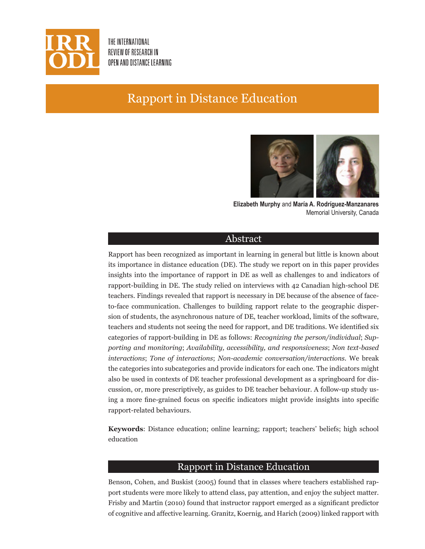

THE INTERNATIONAL REVIEW OF RESEARCH IN OPEN AND DISTANCE LEARNING

# Rapport in Distance Education



**Elizabeth Murphy** and **María A. Rodríguez-Manzanares** Memorial University, Canada

## Abstract

Rapport has been recognized as important in learning in general but little is known about its importance in distance education (DE). The study we report on in this paper provides insights into the importance of rapport in DE as well as challenges to and indicators of rapport-building in DE. The study relied on interviews with 42 Canadian high-school DE teachers. Findings revealed that rapport is necessary in DE because of the absence of faceto-face communication. Challenges to building rapport relate to the geographic dispersion of students, the asynchronous nature of DE, teacher workload, limits of the software, teachers and students not seeing the need for rapport, and DE traditions. We identified six categories of rapport-building in DE as follows: *Recognizing the person/individual*; *Supporting and monitoring*; *Availability, accessibility, and responsiveness*; *Non text-based interactions*; *Tone of interactions*; *Non-academic conversation/interactions*. We break the categories into subcategories and provide indicators for each one. The indicators might also be used in contexts of DE teacher professional development as a springboard for discussion, or, more prescriptively, as guides to DE teacher behaviour. A follow-up study using a more fine-grained focus on specific indicators might provide insights into specific rapport-related behaviours.

**Keywords**: Distance education; online learning; rapport; teachers' beliefs; high school education

## Rapport in Distance Education

Benson, Cohen, and Buskist (2005) found that in classes where teachers established rapport students were more likely to attend class, pay attention, and enjoy the subject matter. Frisby and Martin (2010) found that instructor rapport emerged as a significant predictor of cognitive and affective learning. Granitz, Koernig, and Harich (2009) linked rapport with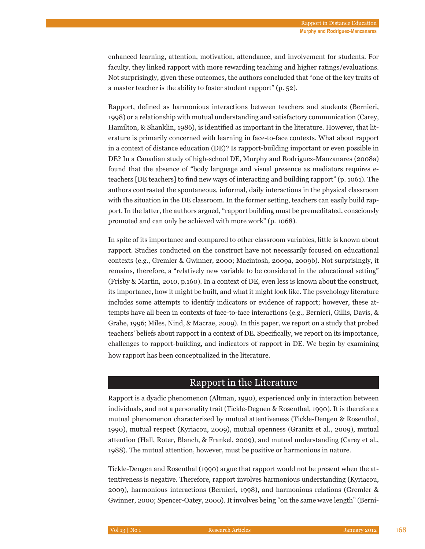enhanced learning, attention, motivation, attendance, and involvement for students. For faculty, they linked rapport with more rewarding teaching and higher ratings/evaluations. Not surprisingly, given these outcomes, the authors concluded that "one of the key traits of a master teacher is the ability to foster student rapport" (p. 52).

Rapport, defined as harmonious interactions between teachers and students (Bernieri, 1998) or a relationship with mutual understanding and satisfactory communication (Carey, Hamilton, & Shanklin, 1986), is identified as important in the literature. However, that literature is primarily concerned with learning in face-to-face contexts. What about rapport in a context of distance education (DE)? Is rapport-building important or even possible in DE? In a Canadian study of high-school DE, Murphy and Rodríguez-Manzanares (2008a) found that the absence of "body language and visual presence as mediators requires eteachers [DE teachers] to find new ways of interacting and building rapport" (p. 1061). The authors contrasted the spontaneous, informal, daily interactions in the physical classroom with the situation in the DE classroom. In the former setting, teachers can easily build rapport. In the latter, the authors argued, "rapport building must be premeditated, consciously promoted and can only be achieved with more work" (p. 1068).

In spite of its importance and compared to other classroom variables, little is known about rapport. Studies conducted on the construct have not necessarily focused on educational contexts (e.g., Gremler & Gwinner, 2000; Macintosh, 2009a, 2009b). Not surprisingly, it remains, therefore, a "relatively new variable to be considered in the educational setting" (Frisby & Martin, 2010, p.160). In a context of DE, even less is known about the construct, its importance, how it might be built, and what it might look like. The psychology literature includes some attempts to identify indicators or evidence of rapport; however, these attempts have all been in contexts of face-to-face interactions (e.g., Bernieri, Gillis, Davis, & Grahe, 1996; Miles, Nind, & Macrae, 2009). In this paper, we report on a study that probed teachers' beliefs about rapport in a context of DE. Specifically, we report on its importance, challenges to rapport-building, and indicators of rapport in DE. We begin by examining how rapport has been conceptualized in the literature.

## Rapport in the Literature

Rapport is a dyadic phenomenon (Altman, 1990), experienced only in interaction between individuals, and not a personality trait (Tickle-Degnen & Rosenthal, 1990). It is therefore a mutual phenomenon characterized by mutual attentiveness (Tickle-Dengen & Rosenthal, 1990), mutual respect (Kyriacou, 2009), mutual openness (Granitz et al., 2009), mutual attention (Hall, Roter, Blanch, & Frankel, 2009), and mutual understanding (Carey et al., 1988). The mutual attention, however, must be positive or harmonious in nature.

Tickle-Dengen and Rosenthal (1990) argue that rapport would not be present when the attentiveness is negative. Therefore, rapport involves harmonious understanding (Kyriacou, 2009), harmonious interactions (Bernieri, 1998), and harmonious relations (Gremler & Gwinner, 2000; Spencer-Oatey, 2000). It involves being "on the same wave length" (Berni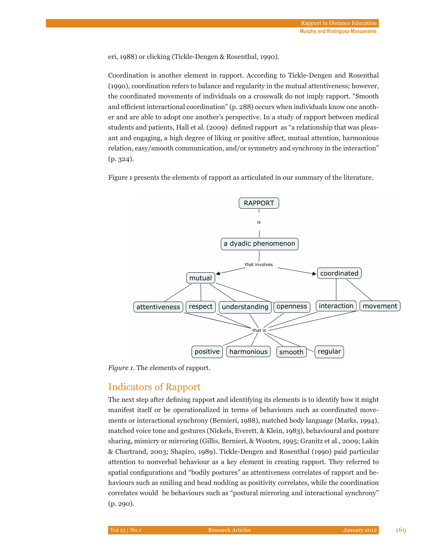eri, 1988) or clicking (Tickle-Dengen & Rosenthal, 1990).

Coordination is another element in rapport. According to Tickle-Dengen and Rosenthal (1990), coordination refers to balance and regularity in the mutual attentiveness; however, the coordinated movements of individuals on a crosswalk do not imply rapport. "Smooth and efficient interactional coordination" (p. 288) occurs when individuals know one another and are able to adopt one another's perspective. In a study of rapport between medical students and patients, Hall et al. (2009) defined rapport as "a relationship that was pleasant and engaging, a high degree of liking or positive affect, mutual attention, harmonious relation, easy/smooth communication, and/or symmetry and synchrony in the interaction" (p. 324).

Figure 1 presents the elements of rapport as articulated in our summary of the literature.



*Figure 1*. The elements of rapport.

# Indicators of Rapport

The next step after defining rapport and identifying its elements is to identify how it might manifest itself or be operationalized in terms of behaviours such as coordinated movements or interactional synchrony (Bernieri, 1988), matched body language (Marks, 1994), matched voice tone and gestures (Nickels, Everett, & Klein, 1983), behavioural and posture sharing, mimicry or mirroring (Gillis, Bernieri, & Wooten, 1995; Granitz et al., 2009; Lakin & Chartrand, 2003; Shapiro, 1989). Tickle-Dengen and Rosenthal (1990) paid particular attention to nonverbal behaviour as a key element in creating rapport. They referred to spatial configurations and "bodily postures" as attentiveness correlates of rapport and behaviours such as smiling and head nodding as positivity correlates, while the coordination correlates would be behaviours such as "postural mirroring and interactional synchrony" (p. 290).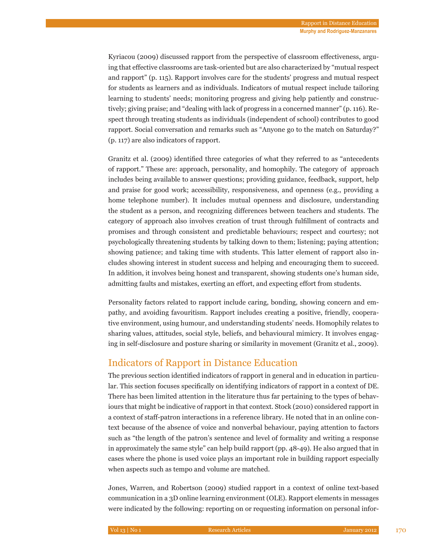Kyriacou (2009) discussed rapport from the perspective of classroom effectiveness, arguing that effective classrooms are task-oriented but are also characterized by "mutual respect and rapport" (p. 115). Rapport involves care for the students' progress and mutual respect for students as learners and as individuals. Indicators of mutual respect include tailoring learning to students' needs; monitoring progress and giving help patiently and constructively; giving praise; and "dealing with lack of progress in a concerned manner" (p. 116). Respect through treating students as individuals (independent of school) contributes to good rapport. Social conversation and remarks such as "Anyone go to the match on Saturday?" (p. 117) are also indicators of rapport.

Granitz et al. (2009) identified three categories of what they referred to as "antecedents of rapport." These are: approach, personality, and homophily. The category of approach includes being available to answer questions; providing guidance, feedback, support, help and praise for good work; accessibility, responsiveness, and openness (e.g., providing a home telephone number). It includes mutual openness and disclosure, understanding the student as a person, and recognizing differences between teachers and students. The category of approach also involves creation of trust through fulfillment of contracts and promises and through consistent and predictable behaviours; respect and courtesy; not psychologically threatening students by talking down to them; listening; paying attention; showing patience; and taking time with students. This latter element of rapport also includes showing interest in student success and helping and encouraging them to succeed. In addition, it involves being honest and transparent, showing students one's human side, admitting faults and mistakes, exerting an effort, and expecting effort from students.

Personality factors related to rapport include caring, bonding, showing concern and empathy, and avoiding favouritism. Rapport includes creating a positive, friendly, cooperative environment, using humour, and understanding students' needs. Homophily relates to sharing values, attitudes, social style, beliefs, and behavioural mimicry. It involves engaging in self-disclosure and posture sharing or similarity in movement (Granitz et al., 2009).

# Indicators of Rapport in Distance Education

The previous section identified indicators of rapport in general and in education in particular. This section focuses specifically on identifying indicators of rapport in a context of DE. There has been limited attention in the literature thus far pertaining to the types of behaviours that might be indicative of rapport in that context. Stock (2010) considered rapport in a context of staff-patron interactions in a reference library. He noted that in an online context because of the absence of voice and nonverbal behaviour, paying attention to factors such as "the length of the patron's sentence and level of formality and writing a response in approximately the same style" can help build rapport (pp. 48-49). He also argued that in cases where the phone is used voice plays an important role in building rapport especially when aspects such as tempo and volume are matched.

Jones, Warren, and Robertson (2009) studied rapport in a context of online text-based communication in a 3D online learning environment (OLE). Rapport elements in messages were indicated by the following: reporting on or requesting information on personal infor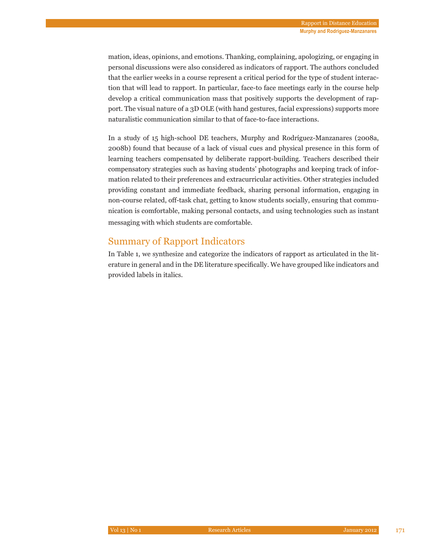mation, ideas, opinions, and emotions. Thanking, complaining, apologizing, or engaging in personal discussions were also considered as indicators of rapport. The authors concluded that the earlier weeks in a course represent a critical period for the type of student interaction that will lead to rapport. In particular, face-to face meetings early in the course help develop a critical communication mass that positively supports the development of rapport. The visual nature of a 3D OLE (with hand gestures, facial expressions) supports more naturalistic communication similar to that of face-to-face interactions.

In a study of 15 high-school DE teachers, Murphy and Rodríguez-Manzanares (2008a, 2008b) found that because of a lack of visual cues and physical presence in this form of learning teachers compensated by deliberate rapport-building. Teachers described their compensatory strategies such as having students' photographs and keeping track of information related to their preferences and extracurricular activities. Other strategies included providing constant and immediate feedback, sharing personal information, engaging in non-course related, off-task chat, getting to know students socially, ensuring that communication is comfortable, making personal contacts, and using technologies such as instant messaging with which students are comfortable.

# Summary of Rapport Indicators

In Table 1, we synthesize and categorize the indicators of rapport as articulated in the literature in general and in the DE literature specifically. We have grouped like indicators and provided labels in italics.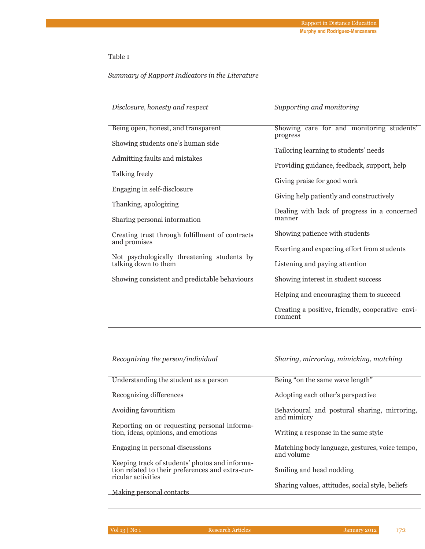### Table 1

#### *Summary of Rapport Indicators in the Literature*

| Disclosure, honesty and respect                                 | Supporting and monitoring                                                     |
|-----------------------------------------------------------------|-------------------------------------------------------------------------------|
| Being open, honest, and transparent                             | Showing care for and monitoring students'<br>progress                         |
| Showing students one's human side                               | Tailoring learning to students' needs                                         |
| Admitting faults and mistakes                                   | Providing guidance, feedback, support, help                                   |
| Talking freely                                                  | Giving praise for good work                                                   |
| Engaging in self-disclosure<br>Thanking, apologizing            | Giving help patiently and constructively                                      |
|                                                                 | Dealing with lack of progress in a concerned                                  |
| Sharing personal information                                    | manner                                                                        |
| Creating trust through fulfillment of contracts<br>and promises | Showing patience with students<br>Exerting and expecting effort from students |
| Not psychologically threatening students by                     |                                                                               |
| talking down to them                                            | Listening and paying attention                                                |
| Showing consistent and predictable behaviours                   | Showing interest in student success                                           |
|                                                                 | Helping and encouraging them to succeed                                       |
|                                                                 | Creating a positive, friendly, cooperative envi-<br>ronment                   |

| Recognizing the person/individual                                                                                        | Sharing, mirroring, mimicking, matching                      |
|--------------------------------------------------------------------------------------------------------------------------|--------------------------------------------------------------|
| Understanding the student as a person                                                                                    | Being "on the same wave length"                              |
| Recognizing differences                                                                                                  | Adopting each other's perspective.                           |
| Avoiding favouritism                                                                                                     | Behavioural and postural sharing, mirroring,<br>and mimicry  |
| Reporting on or requesting personal informa-<br>tion, ideas, opinions, and emotions                                      | Writing a response in the same style                         |
| Engaging in personal discussions                                                                                         | Matching body language, gestures, voice tempo,<br>and volume |
| Keeping track of students' photos and informa-<br>tion related to their preferences and extra-cur-<br>ricular activities | Smiling and head nodding                                     |
| <b>Making personal contacts</b>                                                                                          | Sharing values, attitudes, social style, beliefs             |
|                                                                                                                          |                                                              |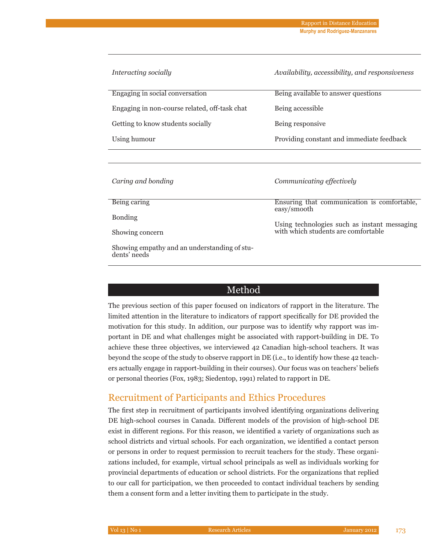| Interacting socially                          | Availability, accessibility, and responsiveness                                     |
|-----------------------------------------------|-------------------------------------------------------------------------------------|
| Engaging in social conversation               | Being available to answer questions                                                 |
| Engaging in non-course related, off-task chat | Being accessible                                                                    |
| Getting to know students socially             | Being responsive                                                                    |
| Using humour                                  | Providing constant and immediate feedback                                           |
|                                               |                                                                                     |
| Caring and bonding                            | Communicating effectively                                                           |
| Being caring                                  | Ensuring that communication is comfortable,<br>easy/smooth                          |
| <b>Bonding</b>                                |                                                                                     |
| Showing concern                               | Using technologies such as instant messaging<br>with which students are comfortable |
| Showing empathy and an understanding of stu-  |                                                                                     |

dents' needs

### Method

The previous section of this paper focused on indicators of rapport in the literature. The limited attention in the literature to indicators of rapport specifically for DE provided the motivation for this study. In addition, our purpose was to identify why rapport was important in DE and what challenges might be associated with rapport-building in DE. To achieve these three objectives, we interviewed 42 Canadian high-school teachers. It was beyond the scope of the study to observe rapport in DE (i.e., to identify how these 42 teachers actually engage in rapport-building in their courses). Our focus was on teachers' beliefs or personal theories (Fox, 1983; Siedentop, 1991) related to rapport in DE.

# Recruitment of Participants and Ethics Procedures

The first step in recruitment of participants involved identifying organizations delivering DE high-school courses in Canada. Different models of the provision of high-school DE exist in different regions. For this reason, we identified a variety of organizations such as school districts and virtual schools. For each organization, we identified a contact person or persons in order to request permission to recruit teachers for the study. These organizations included, for example, virtual school principals as well as individuals working for provincial departments of education or school districts. For the organizations that replied to our call for participation, we then proceeded to contact individual teachers by sending them a consent form and a letter inviting them to participate in the study.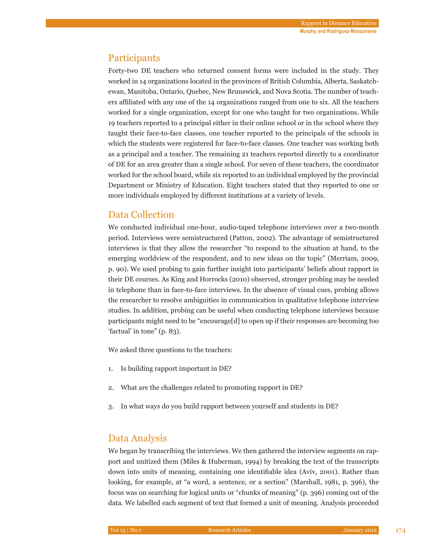# Participants

Forty-two DE teachers who returned consent forms were included in the study. They worked in 14 organizations located in the provinces of British Columbia, Alberta, Saskatchewan, Manitoba, Ontario, Quebec, New Brunswick, and Nova Scotia. The number of teachers affiliated with any one of the 14 organizations ranged from one to six. All the teachers worked for a single organization, except for one who taught for two organizations. While 19 teachers reported to a principal either in their online school or in the school where they taught their face-to-face classes, one teacher reported to the principals of the schools in which the students were registered for face-to-face classes. One teacher was working both as a principal and a teacher. The remaining 21 teachers reported directly to a coordinator of DE for an area greater than a single school. For seven of these teachers, the coordinator worked for the school board, while six reported to an individual employed by the provincial Department or Ministry of Education. Eight teachers stated that they reported to one or more individuals employed by different institutions at a variety of levels.

# Data Collection

We conducted individual one-hour, audio-taped telephone interviews over a two-month period. Interviews were semistructured (Patton, 2002). The advantage of semistructured interviews is that they allow the researcher "to respond to the situation at hand, to the emerging worldview of the respondent, and to new ideas on the topic" (Merriam, 2009, p. 90). We used probing to gain further insight into participants' beliefs about rapport in their DE courses. As King and Horrocks (2010) observed, stronger probing may be needed in telephone than in face-to-face interviews. In the absence of visual cues, probing allows the researcher to resolve ambiguities in communication in qualitative telephone interview studies. In addition, probing can be useful when conducting telephone interviews because participants might need to be "encourage[d] to open up if their responses are becoming too 'factual' in tone" (p. 83).

We asked three questions to the teachers:

- 1. Is building rapport important in DE?
- 2. What are the challenges related to promoting rapport in DE?
- 3. In what ways do you build rapport between yourself and students in DE?

# Data Analysis

We began by transcribing the interviews. We then gathered the interview segments on rapport and unitized them (Miles & Huberman, 1994) by breaking the text of the transcripts down into units of meaning, containing one identifiable idea (Aviv, 2001). Rather than looking, for example, at "a word, a sentence, or a section" (Marshall, 1981, p. 396), the focus was on searching for logical units or "chunks of meaning" (p. 396) coming out of the data. We labelled each segment of text that formed a unit of meaning. Analysis proceeded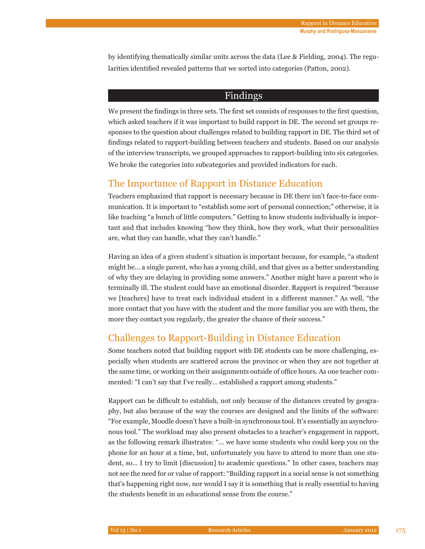by identifying thematically similar units across the data (Lee & Fielding, 2004). The regularities identified revealed patterns that we sorted into categories (Patton, 2002).

### Findings

We present the findings in three sets. The first set consists of responses to the first question, which asked teachers if it was important to build rapport in DE. The second set groups responses to the question about challenges related to building rapport in DE. The third set of findings related to rapport-building between teachers and students. Based on our analysis of the interview transcripts, we grouped approaches to rapport-building into six categories. We broke the categories into subcategories and provided indicators for each.

## The Importance of Rapport in Distance Education

Teachers emphasized that rapport is necessary because in DE there isn't face-to-face communication. It is important to "establish some sort of personal connection;" otherwise, it is like teaching "a bunch of little computers." Getting to know students individually is important and that includes knowing "how they think, how they work, what their personalities are, what they can handle, what they can't handle."

Having an idea of a given student's situation is important because, for example, "a student might be… a single parent, who has a young child, and that gives us a better understanding of why they are delaying in providing some answers." Another might have a parent who is terminally ill. The student could have an emotional disorder. Rapport is required "because we [teachers] have to treat each individual student in a different manner." As well, "the more contact that you have with the student and the more familiar you are with them, the more they contact you regularly, the greater the chance of their success."

# Challenges to Rapport-Building in Distance Education

Some teachers noted that building rapport with DE students can be more challenging, especially when students are scattered across the province or when they are not together at the same time, or working on their assignments outside of office hours. As one teacher commented: "I can't say that I've really… established a rapport among students."

Rapport can be difficult to establish, not only because of the distances created by geography, but also because of the way the courses are designed and the limits of the software: "For example, Moodle doesn't have a built-in synchronous tool. It's essentially an asynchronous tool." The workload may also present obstacles to a teacher's engagement in rapport, as the following remark illustrates: "… we have some students who could keep you on the phone for an hour at a time, but, unfortunately you have to attend to more than one student, so… I try to limit [discussion] to academic questions." In other cases, teachers may not see the need for or value of rapport: "Building rapport in a social sense is not something that's happening right now, nor would I say it is something that is really essential to having the students benefit in an educational sense from the course."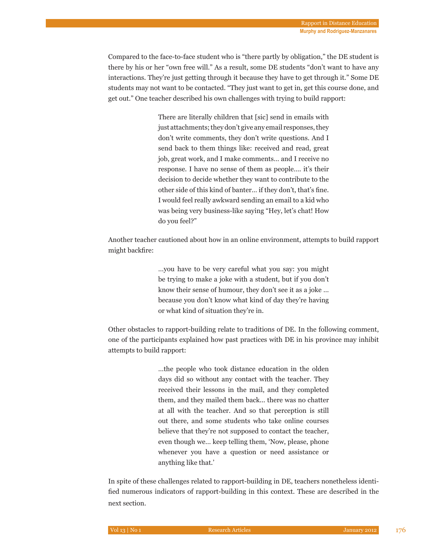Compared to the face-to-face student who is "there partly by obligation," the DE student is there by his or her "own free will." As a result, some DE students "don't want to have any interactions. They're just getting through it because they have to get through it." Some DE students may not want to be contacted. "They just want to get in, get this course done, and get out." One teacher described his own challenges with trying to build rapport:

> There are literally children that [sic] send in emails with just attachments; they don't give any email responses, they don't write comments, they don't write questions. And I send back to them things like: received and read, great job, great work, and I make comments… and I receive no response. I have no sense of them as people…. it's their decision to decide whether they want to contribute to the other side of this kind of banter… if they don't, that's fine. I would feel really awkward sending an email to a kid who was being very business-like saying "Hey, let's chat! How do you feel?"

Another teacher cautioned about how in an online environment, attempts to build rapport might backfire:

> …you have to be very careful what you say: you might be trying to make a joke with a student, but if you don't know their sense of humour, they don't see it as a joke … because you don't know what kind of day they're having or what kind of situation they're in.

Other obstacles to rapport-building relate to traditions of DE. In the following comment, one of the participants explained how past practices with DE in his province may inhibit attempts to build rapport:

> …the people who took distance education in the olden days did so without any contact with the teacher. They received their lessons in the mail, and they completed them, and they mailed them back... there was no chatter at all with the teacher. And so that perception is still out there, and some students who take online courses believe that they're not supposed to contact the teacher, even though we… keep telling them, 'Now, please, phone whenever you have a question or need assistance or anything like that.'

In spite of these challenges related to rapport-building in DE, teachers nonetheless identified numerous indicators of rapport-building in this context. These are described in the next section.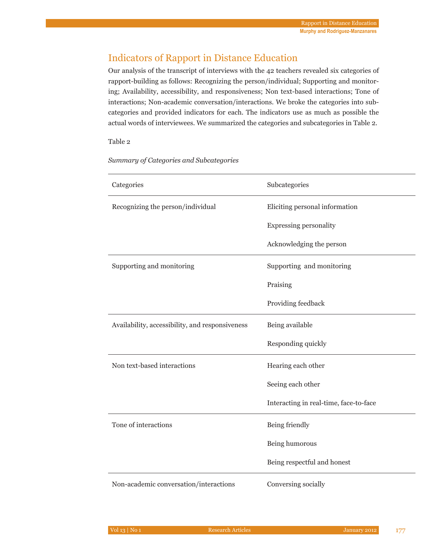# Indicators of Rapport in Distance Education

Our analysis of the transcript of interviews with the 42 teachers revealed six categories of rapport-building as follows: Recognizing the person/individual; Supporting and monitoring; Availability, accessibility, and responsiveness; Non text-based interactions; Tone of interactions; Non-academic conversation/interactions. We broke the categories into subcategories and provided indicators for each. The indicators use as much as possible the actual words of interviewees. We summarized the categories and subcategories in Table 2.

### Table 2

*Summary of Categories and Subcategories*

| Categories                                      | Subcategories                          |
|-------------------------------------------------|----------------------------------------|
| Recognizing the person/individual               | Eliciting personal information         |
|                                                 | <b>Expressing personality</b>          |
|                                                 | Acknowledging the person               |
| Supporting and monitoring                       | Supporting and monitoring              |
|                                                 | Praising                               |
|                                                 | Providing feedback                     |
| Availability, accessibility, and responsiveness | Being available                        |
|                                                 | Responding quickly                     |
| Non text-based interactions                     | Hearing each other                     |
|                                                 | Seeing each other                      |
|                                                 | Interacting in real-time, face-to-face |
| Tone of interactions                            | Being friendly                         |
|                                                 | Being humorous                         |
|                                                 | Being respectful and honest            |
| Non-academic conversation/interactions          | Conversing socially                    |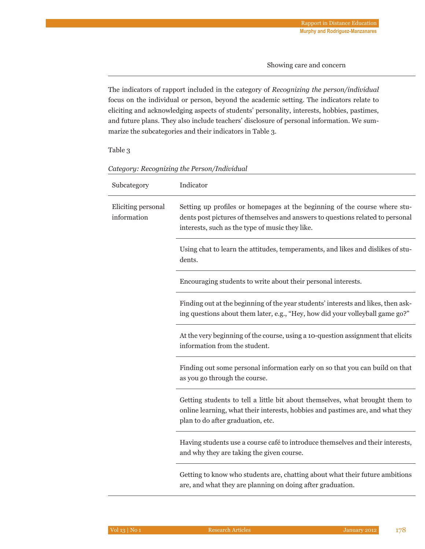### Showing care and concern

The indicators of rapport included in the category of *Recognizing the person/individual* focus on the individual or person, beyond the academic setting. The indicators relate to eliciting and acknowledging aspects of students' personality, interests, hobbies, pastimes, and future plans. They also include teachers' disclosure of personal information. We summarize the subcategories and their indicators in Table 3.

### Table 3

| Subcategory                       | Indicator                                                                                                                                                                                                       |
|-----------------------------------|-----------------------------------------------------------------------------------------------------------------------------------------------------------------------------------------------------------------|
| Eliciting personal<br>information | Setting up profiles or homepages at the beginning of the course where stu-<br>dents post pictures of themselves and answers to questions related to personal<br>interests, such as the type of music they like. |
|                                   | Using chat to learn the attitudes, temperaments, and likes and dislikes of stu-<br>dents.                                                                                                                       |
|                                   | Encouraging students to write about their personal interests.                                                                                                                                                   |
|                                   | Finding out at the beginning of the year students' interests and likes, then ask-<br>ing questions about them later, e.g., "Hey, how did your volleyball game go?"                                              |
|                                   | At the very beginning of the course, using a 10-question assignment that elicits<br>information from the student.                                                                                               |
|                                   | Finding out some personal information early on so that you can build on that<br>as you go through the course.                                                                                                   |
|                                   | Getting students to tell a little bit about themselves, what brought them to<br>online learning, what their interests, hobbies and pastimes are, and what they<br>plan to do after graduation, etc.             |
|                                   | Having students use a course café to introduce themselves and their interests,<br>and why they are taking the given course.                                                                                     |
|                                   | Getting to know who students are, chatting about what their future ambitions<br>are, and what they are planning on doing after graduation.                                                                      |

### *Category: Recognizing the Person/Individual*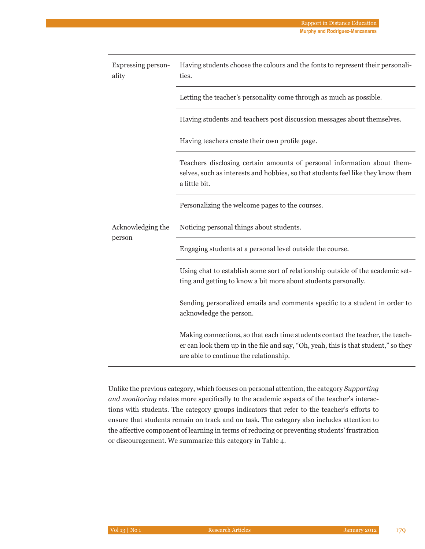| Expressing person-<br>ality | Having students choose the colours and the fonts to represent their personali-<br>ties.                                                                                                                        |  |
|-----------------------------|----------------------------------------------------------------------------------------------------------------------------------------------------------------------------------------------------------------|--|
|                             | Letting the teacher's personality come through as much as possible.                                                                                                                                            |  |
|                             | Having students and teachers post discussion messages about themselves.                                                                                                                                        |  |
|                             | Having teachers create their own profile page.                                                                                                                                                                 |  |
|                             | Teachers disclosing certain amounts of personal information about them-<br>selves, such as interests and hobbies, so that students feel like they know them<br>a little bit.                                   |  |
|                             | Personalizing the welcome pages to the courses.                                                                                                                                                                |  |
| Acknowledging the           | Noticing personal things about students.                                                                                                                                                                       |  |
| person                      | Engaging students at a personal level outside the course.                                                                                                                                                      |  |
|                             | Using chat to establish some sort of relationship outside of the academic set-<br>ting and getting to know a bit more about students personally.                                                               |  |
|                             | Sending personalized emails and comments specific to a student in order to<br>acknowledge the person.                                                                                                          |  |
|                             | Making connections, so that each time students contact the teacher, the teach-<br>er can look them up in the file and say, "Oh, yeah, this is that student," so they<br>are able to continue the relationship. |  |

Unlike the previous category, which focuses on personal attention, the category *Supporting and monitoring* relates more specifically to the academic aspects of the teacher's interactions with students. The category groups indicators that refer to the teacher's efforts to ensure that students remain on track and on task. The category also includes attention to the affective component of learning in terms of reducing or preventing students' frustration or discouragement. We summarize this category in Table 4.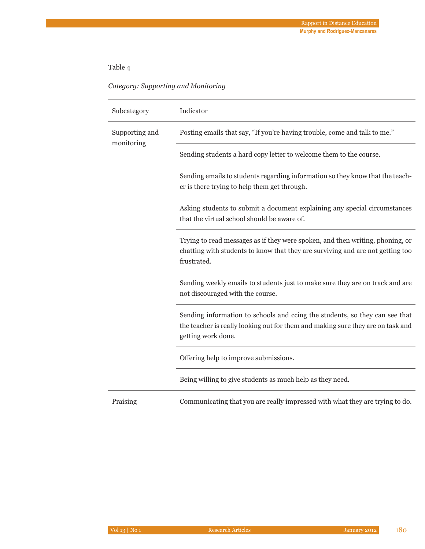## Table 4

## *Category: Supporting and Monitoring*

| Subcategory    | Indicator                                                                                                                                                                            |
|----------------|--------------------------------------------------------------------------------------------------------------------------------------------------------------------------------------|
| Supporting and | Posting emails that say, "If you're having trouble, come and talk to me."                                                                                                            |
| monitoring     | Sending students a hard copy letter to welcome them to the course.                                                                                                                   |
|                | Sending emails to students regarding information so they know that the teach-<br>er is there trying to help them get through.                                                        |
|                | Asking students to submit a document explaining any special circumstances<br>that the virtual school should be aware of.                                                             |
|                | Trying to read messages as if they were spoken, and then writing, phoning, or<br>chatting with students to know that they are surviving and are not getting too<br>frustrated.       |
|                | Sending weekly emails to students just to make sure they are on track and are<br>not discouraged with the course.                                                                    |
|                | Sending information to schools and ccing the students, so they can see that<br>the teacher is really looking out for them and making sure they are on task and<br>getting work done. |
|                | Offering help to improve submissions.                                                                                                                                                |
|                | Being willing to give students as much help as they need.                                                                                                                            |
| Praising       | Communicating that you are really impressed with what they are trying to do.                                                                                                         |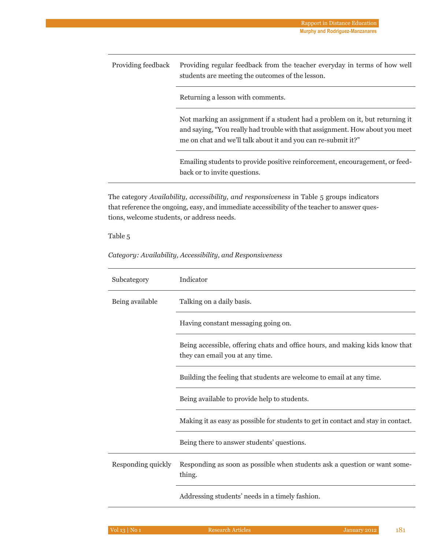| Providing feedback | Providing regular feedback from the teacher everyday in terms of how well<br>students are meeting the outcomes of the lesson.                                                                                                 |
|--------------------|-------------------------------------------------------------------------------------------------------------------------------------------------------------------------------------------------------------------------------|
|                    | Returning a lesson with comments.                                                                                                                                                                                             |
|                    | Not marking an assignment if a student had a problem on it, but returning it<br>and saying, "You really had trouble with that assignment. How about you meet<br>me on chat and we'll talk about it and you can re-submit it?" |
|                    | Emailing students to provide positive reinforcement, encouragement, or feed-<br>back or to invite questions.                                                                                                                  |

The category *Availability, accessibility, and responsiveness* in Table 5 groups indicators that reference the ongoing, easy, and immediate accessibility of the teacher to answer questions, welcome students, or address needs.

### Table 5

### *Category: Availability, Accessibility, and Responsiveness*

| Subcategory        | Indicator                                                                                                       |
|--------------------|-----------------------------------------------------------------------------------------------------------------|
| Being available    | Talking on a daily basis.                                                                                       |
|                    | Having constant messaging going on.                                                                             |
|                    | Being accessible, offering chats and office hours, and making kids know that<br>they can email you at any time. |
|                    | Building the feeling that students are welcome to email at any time.                                            |
|                    | Being available to provide help to students.                                                                    |
|                    | Making it as easy as possible for students to get in contact and stay in contact.                               |
|                    | Being there to answer students' questions.                                                                      |
| Responding quickly | Responding as soon as possible when students ask a question or want some-<br>thing.                             |
|                    | Addressing students' needs in a timely fashion.                                                                 |

| Vol 13   No 1<br><b>Research Articles</b><br>January 2012 |  |
|-----------------------------------------------------------|--|
|-----------------------------------------------------------|--|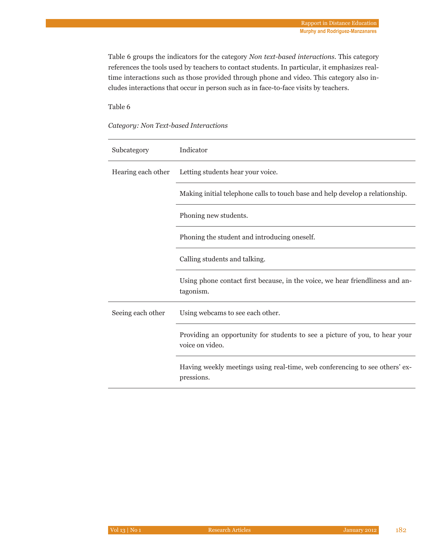Table 6 groups the indicators for the category *Non text-based interactions*. This category references the tools used by teachers to contact students. In particular, it emphasizes realtime interactions such as those provided through phone and video. This category also includes interactions that occur in person such as in face-to-face visits by teachers.

### Table 6

|  |  |  | Category: Non Text-based Interactions |
|--|--|--|---------------------------------------|
|--|--|--|---------------------------------------|

| Subcategory        | Indicator                                                                                      |
|--------------------|------------------------------------------------------------------------------------------------|
| Hearing each other | Letting students hear your voice.                                                              |
|                    | Making initial telephone calls to touch base and help develop a relationship.                  |
|                    | Phoning new students.                                                                          |
|                    | Phoning the student and introducing oneself.                                                   |
|                    | Calling students and talking.                                                                  |
|                    | Using phone contact first because, in the voice, we hear friendliness and an-<br>tagonism.     |
| Seeing each other  | Using webcams to see each other.                                                               |
|                    | Providing an opportunity for students to see a picture of you, to hear your<br>voice on video. |
|                    | Having weekly meetings using real-time, web conferencing to see others' ex-<br>pressions.      |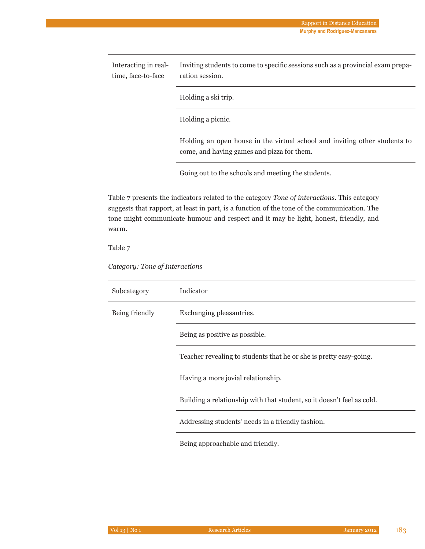Interacting in realtime, face-to-face Inviting students to come to specific sessions such as a provincial exam preparation session. Holding a ski trip. Holding a picnic. Holding an open house in the virtual school and inviting other students to come, and having games and pizza for them. Going out to the schools and meeting the students.

Table 7 presents the indicators related to the category *Tone of interactions*. This category suggests that rapport, at least in part, is a function of the tone of the communication. The tone might communicate humour and respect and it may be light, honest, friendly, and warm.

Table 7

*Category: Tone of Interactions*

| Subcategory    | Indicator                                                              |
|----------------|------------------------------------------------------------------------|
| Being friendly | Exchanging pleasantries.                                               |
|                | Being as positive as possible.                                         |
|                | Teacher revealing to students that he or she is pretty easy-going.     |
|                | Having a more jovial relationship.                                     |
|                | Building a relationship with that student, so it doesn't feel as cold. |
|                | Addressing students' needs in a friendly fashion.                      |
|                | Being approachable and friendly.                                       |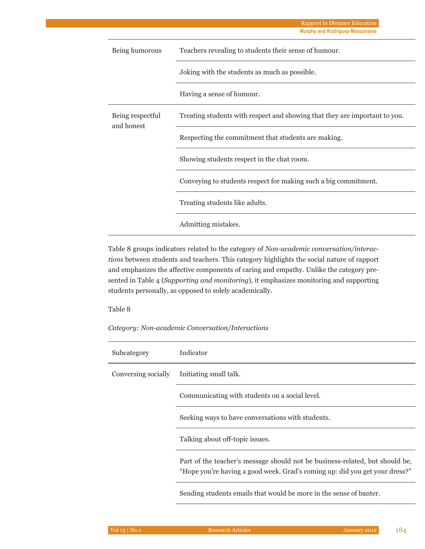|                                | Rapport in Distance Education                                              |
|--------------------------------|----------------------------------------------------------------------------|
|                                | <b>Murphy and Rodriguez-Manzanares</b>                                     |
| Being humorous                 | Teachers revealing to students their sense of humour.                      |
|                                | Joking with the students as much as possible.                              |
|                                | Having a sense of humour.                                                  |
| Being respectful<br>and honest | Treating students with respect and showing that they are important to you. |
|                                | Respecting the commitment that students are making.                        |
|                                | Showing students respect in the chat room.                                 |
|                                | Conveying to students respect for making such a big commitment.            |
|                                | Treating students like adults.                                             |
|                                | Admitting mistakes.                                                        |

Table 8 groups indicators related to the category of *Non-academic conversation/interactions* between students and teachers. This category highlights the social nature of rapport and emphasizes the affective components of caring and empathy. Unlike the category presented in Table 4 (*Supporting and monitoring*), it emphasizes monitoring and supporting students personally, as opposed to solely academically.

Table 8

*Category: Non-academic Conversation/Interactions*

| Subcategory         | Indicator                                                                                                                                                   |
|---------------------|-------------------------------------------------------------------------------------------------------------------------------------------------------------|
| Conversing socially | Initiating small talk.                                                                                                                                      |
|                     | Communicating with students on a social level.                                                                                                              |
|                     | Seeking ways to have conversations with students.                                                                                                           |
|                     | Talking about off-topic issues.                                                                                                                             |
|                     | Part of the teacher's message should not be business-related, but should be,<br>"Hope you're having a good week. Grad's coming up: did you get your dress?" |
|                     | Sending students emails that would be more in the sense of banter.                                                                                          |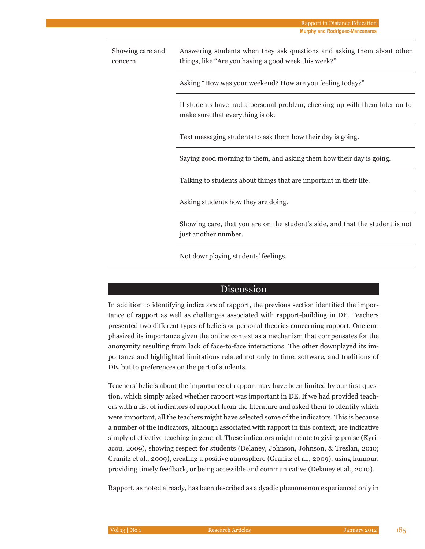| Showing care and<br>concern | Answering students when they ask questions and asking them about other<br>things, like "Are you having a good week this week?" |  |
|-----------------------------|--------------------------------------------------------------------------------------------------------------------------------|--|
|                             | Asking "How was your weekend? How are you feeling today?"                                                                      |  |
|                             | If students have had a personal problem, checking up with them later on to<br>make sure that everything is ok.                 |  |
|                             | Text messaging students to ask them how their day is going.                                                                    |  |
|                             | Saying good morning to them, and asking them how their day is going.                                                           |  |
|                             | Talking to students about things that are important in their life.                                                             |  |
|                             | Asking students how they are doing.                                                                                            |  |
|                             | Showing care, that you are on the student's side, and that the student is not<br>just another number.                          |  |
|                             | Not downplaying students' feelings.                                                                                            |  |

### Discussion

In addition to identifying indicators of rapport, the previous section identified the importance of rapport as well as challenges associated with rapport-building in DE. Teachers presented two different types of beliefs or personal theories concerning rapport. One emphasized its importance given the online context as a mechanism that compensates for the anonymity resulting from lack of face-to-face interactions. The other downplayed its importance and highlighted limitations related not only to time, software, and traditions of DE, but to preferences on the part of students.

Teachers' beliefs about the importance of rapport may have been limited by our first question, which simply asked whether rapport was important in DE. If we had provided teachers with a list of indicators of rapport from the literature and asked them to identify which were important, all the teachers might have selected some of the indicators. This is because a number of the indicators, although associated with rapport in this context, are indicative simply of effective teaching in general. These indicators might relate to giving praise (Kyriacou, 2009), showing respect for students (Delaney, Johnson, Johnson, & Treslan, 2010; Granitz et al., 2009), creating a positive atmosphere (Granitz et al., 2009), using humour, providing timely feedback, or being accessible and communicative (Delaney et al., 2010).

Rapport, as noted already, has been described as a dyadic phenomenon experienced only in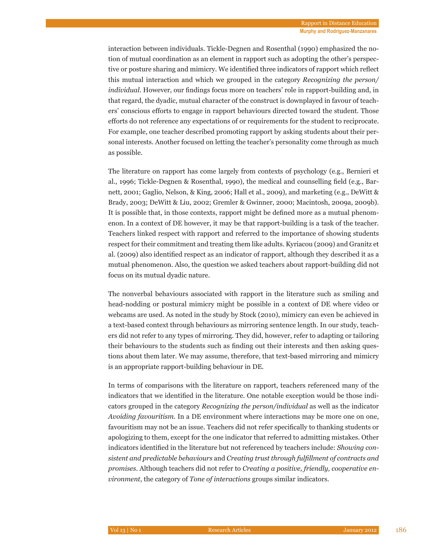interaction between individuals. Tickle-Degnen and Rosenthal (1990) emphasized the notion of mutual coordination as an element in rapport such as adopting the other's perspective or posture sharing and mimicry. We identified three indicators of rapport which reflect this mutual interaction and which we grouped in the category *Recognizing the person/ individual*. However, our findings focus more on teachers' role in rapport-building and, in that regard, the dyadic, mutual character of the construct is downplayed in favour of teachers' conscious efforts to engage in rapport behaviours directed toward the student. Those efforts do not reference any expectations of or requirements for the student to reciprocate. For example, one teacher described promoting rapport by asking students about their personal interests. Another focused on letting the teacher's personality come through as much as possible.

The literature on rapport has come largely from contexts of psychology (e.g., Bernieri et al., 1996; Tickle-Degnen & Rosenthal, 1990), the medical and counselling field (e.g., Barnett, 2001; Gaglio, Nelson, & King, 2006; Hall et al., 2009), and marketing (e.g., DeWitt & Brady, 2003; DeWitt & Liu, 2002; Gremler & Gwinner, 2000; Macintosh, 2009a, 2009b). It is possible that, in those contexts, rapport might be defined more as a mutual phenomenon. In a context of DE however, it may be that rapport-building is a task of the teacher. Teachers linked respect with rapport and referred to the importance of showing students respect for their commitment and treating them like adults. Kyriacou (2009) and Granitz et al. (2009) also identified respect as an indicator of rapport, although they described it as a mutual phenomenon. Also, the question we asked teachers about rapport-building did not focus on its mutual dyadic nature.

The nonverbal behaviours associated with rapport in the literature such as smiling and head-nodding or postural mimicry might be possible in a context of DE where video or webcams are used. As noted in the study by Stock (2010), mimicry can even be achieved in a text-based context through behaviours as mirroring sentence length. In our study, teachers did not refer to any types of mirroring. They did, however, refer to adapting or tailoring their behaviours to the students such as finding out their interests and then asking questions about them later. We may assume, therefore, that text-based mirroring and mimicry is an appropriate rapport-building behaviour in DE.

In terms of comparisons with the literature on rapport, teachers referenced many of the indicators that we identified in the literature. One notable exception would be those indicators grouped in the category *Recognizing the person/individual* as well as the indicator *Avoiding favouritism.* In a DE environment where interactions may be more one on one, favouritism may not be an issue. Teachers did not refer specifically to thanking students or apologizing to them, except for the one indicator that referred to admitting mistakes. Other indicators identified in the literature but not referenced by teachers include: *Showing consistent and predictable behaviours* and *Creating trust through fulfillment of contracts and promises*. Although teachers did not refer to *Creating a positive, friendly, cooperative environment*, the category of *Tone of interactions* groups similar indicators.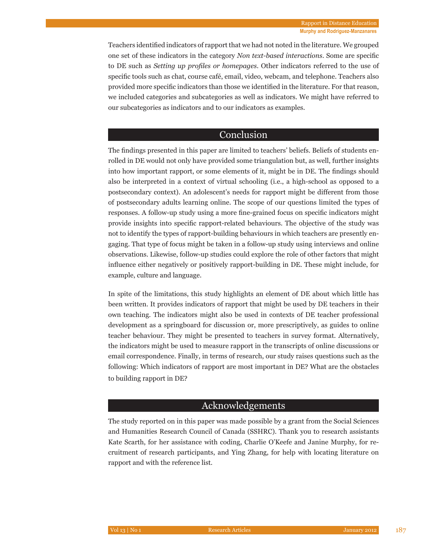Teachers identified indicators of rapport that we had not noted in the literature. We grouped one set of these indicators in the category *Non text-based interactions*. Some are specific to DE such as *Setting up profiles or homepages*. Other indicators referred to the use of specific tools such as chat, course café, email, video, webcam, and telephone. Teachers also provided more specific indicators than those we identified in the literature. For that reason, we included categories and subcategories as well as indicators. We might have referred to our subcategories as indicators and to our indicators as examples.

### Conclusion

The findings presented in this paper are limited to teachers' beliefs. Beliefs of students enrolled in DE would not only have provided some triangulation but, as well, further insights into how important rapport, or some elements of it, might be in DE. The findings should also be interpreted in a context of virtual schooling (i.e., a high-school as opposed to a postsecondary context). An adolescent's needs for rapport might be different from those of postsecondary adults learning online. The scope of our questions limited the types of responses. A follow-up study using a more fine-grained focus on specific indicators might provide insights into specific rapport-related behaviours. The objective of the study was not to identify the types of rapport-building behaviours in which teachers are presently engaging. That type of focus might be taken in a follow-up study using interviews and online observations. Likewise, follow-up studies could explore the role of other factors that might influence either negatively or positively rapport-building in DE. These might include, for example, culture and language.

In spite of the limitations, this study highlights an element of DE about which little has been written. It provides indicators of rapport that might be used by DE teachers in their own teaching. The indicators might also be used in contexts of DE teacher professional development as a springboard for discussion or, more prescriptively, as guides to online teacher behaviour. They might be presented to teachers in survey format. Alternatively, the indicators might be used to measure rapport in the transcripts of online discussions or email correspondence. Finally, in terms of research, our study raises questions such as the following: Which indicators of rapport are most important in DE? What are the obstacles to building rapport in DE?

## Acknowledgements

The study reported on in this paper was made possible by a grant from the Social Sciences and Humanities Research Council of Canada (SSHRC). Thank you to research assistants Kate Scarth, for her assistance with coding, Charlie O'Keefe and Janine Murphy, for recruitment of research participants, and Ying Zhang, for help with locating literature on rapport and with the reference list.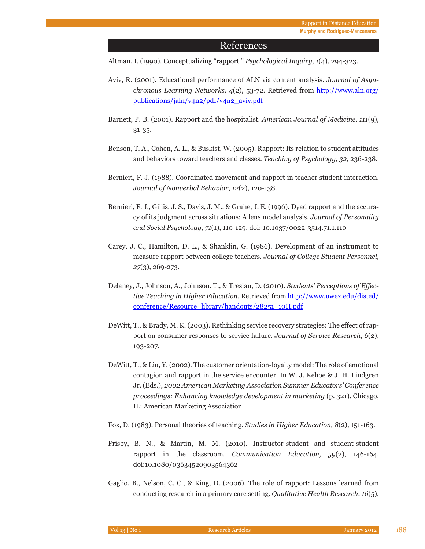### References

Altman, I. (1990). Conceptualizing "rapport." *Psychological Inquiry, 1*(4), 294-323.

- Aviv, R. (2001). Educational performance of ALN via content analysis. *Journal of Asynchronous Learning Networks, 4*(2), 53-72. Retrieved from http://www.aln.org/ publications/jaln/v4n2/pdf/v4n2\_aviv.pdf
- Barnett, P. B. (2001). Rapport and the hospitalist. *American Journal of Medicine*, *111*(9), 31-35.
- Benson, T. A., Cohen, A. L., & Buskist, W. (2005). Rapport: Its relation to student attitudes and behaviors toward teachers and classes. *Teaching of Psychology*, *32*, 236-238.
- Bernieri, F. J. (1988). Coordinated movement and rapport in teacher student interaction. *Journal of Nonverbal Behavior*, *12*(2), 120-138.
- Bernieri, F. J., Gillis, J. S., Davis, J. M., & Grahe, J. E. (1996). Dyad rapport and the accuracy of its judgment across situations: A lens model analysis. *Journal of Personality and Social Psychology, 71*(1), 110-129. doi: 10.1037/0022-3514.71.1.110
- Carey, J. C., Hamilton, D. L., & Shanklin, G. (1986). Development of an instrument to measure rapport between college teachers. *Journal of College Student Personnel, 27*(3), 269-273.
- Delaney, J., Johnson, A., Johnson. T., & Treslan, D. (2010). *Students' Perceptions of Effective Teaching in Higher Education*. Retrieved from http://www.uwex.edu/disted/ conference/Resource\_library/handouts/28251\_10H.pdf
- DeWitt, T., & Brady, M. K. (2003). Rethinking service recovery strategies: The effect of rapport on consumer responses to service failure. *Journal of Service Research*, *6*(2), 193-207.
- DeWitt, T., & Liu, Y. (2002). The customer orientation-loyalty model: The role of emotional contagion and rapport in the service encounter. In W. J. Kehoe & J. H. Lindgren Jr. (Eds.), *2002 American Marketing Association Summer Educators' Conference proceedings: Enhancing knowledge development in marketing* (p. 321). Chicago, IL: American Marketing Association.
- Fox, D. (1983). Personal theories of teaching. *Studies in Higher Education, 8*(2), 151-163.
- Frisby, B. N., & Martin, M. M. (2010). Instructor-student and student-student rapport in the classroom. *Communication Education, 59*(2), 146-164. doi:10.1080/03634520903564362
- Gaglio, B., Nelson, C. C., & King, D. (2006). The role of rapport: Lessons learned from conducting research in a primary care setting. *Qualitative Health Research*, *16*(5),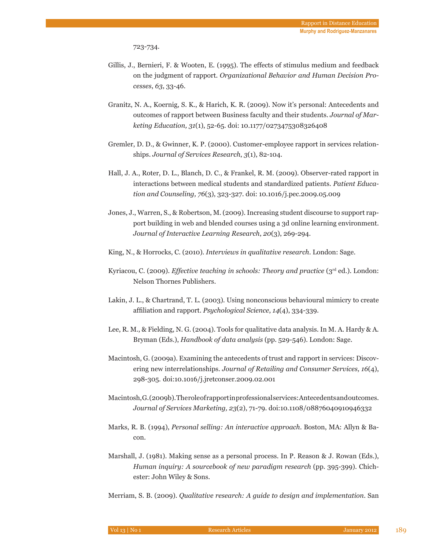723-734.

- Gillis, J., Bernieri, F. & Wooten, E. (1995). The effects of stimulus medium and feedback on the judgment of rapport. *Organizational Behavior and Human Decision Processes*, *63*, 33-46.
- Granitz, N. A., Koernig, S. K., & Harich, K. R. (2009). Now it's personal: Antecedents and outcomes of rapport between Business faculty and their students. *Journal of Marketing Education, 31*(1), 52-65. doi: 10.1177/0273475308326408
- Gremler, D. D., & Gwinner, K. P. (2000). Customer-employee rapport in services relationships. *Journal of Services Research*, *3*(1), 82-104.
- Hall, J. A., Roter, D. L., Blanch, D. C., & Frankel, R. M. (2009). Observer-rated rapport in interactions between medical students and standardized patients. *Patient Education and Counseling, 76*(3), 323-327. doi: 10.1016/j.pec.2009.05.009
- Jones, J., Warren, S., & Robertson, M. (2009). Increasing student discourse to support rapport building in web and blended courses using a 3d online learning environment. *Journal of Interactive Learning Research*, *20*(3), 269-294.
- King, N., & Horrocks, C. (2010). *Interviews in qualitative research*. London: Sage.
- Kyriacou, C. (2009). *Effective teaching in schools: Theory and practice* (3<sup>rd</sup> ed.). London: Nelson Thornes Publishers.
- Lakin, J. L., & Chartrand, T. L. (2003). Using nonconscious behavioural mimicry to create affiliation and rapport. *Psychological Science*, *14*(4), 334-339.
- Lee, R. M., & Fielding, N. G. (2004). Tools for qualitative data analysis. In M. A. Hardy & A. Bryman (Eds.), *Handbook of data analysis* (pp. 529-546). London: Sage.
- Macintosh, G. (2009a). Examining the antecedents of trust and rapport in services: Discovering new interrelationships. *Journal of Retailing and Consumer Services, 16*(4), 298-305. doi:10.1016/j.jretconser.2009.02.001
- Macintosh, G. (2009b). The role of rapport in professional services: Antecedents and outcomes. *Journal of Services Marketing, 23*(2), 71-79. doi:10.1108/08876040910946332
- Marks, R. B. (1994), *Personal selling: An interactive approach*. Boston, MA: Allyn & Bacon.
- Marshall, J. (1981). Making sense as a personal process. In P. Reason & J. Rowan (Eds.), *Human inquiry: A sourcebook of new paradigm research* (pp. 395-399). Chichester: John Wiley & Sons.

Merriam, S. B. (2009). *Qualitative research: A guide to design and implementation*. San

| Vol 13   No 1 | <b>Research Articles</b> | January 2012 | 189 |
|---------------|--------------------------|--------------|-----|
|               |                          |              |     |